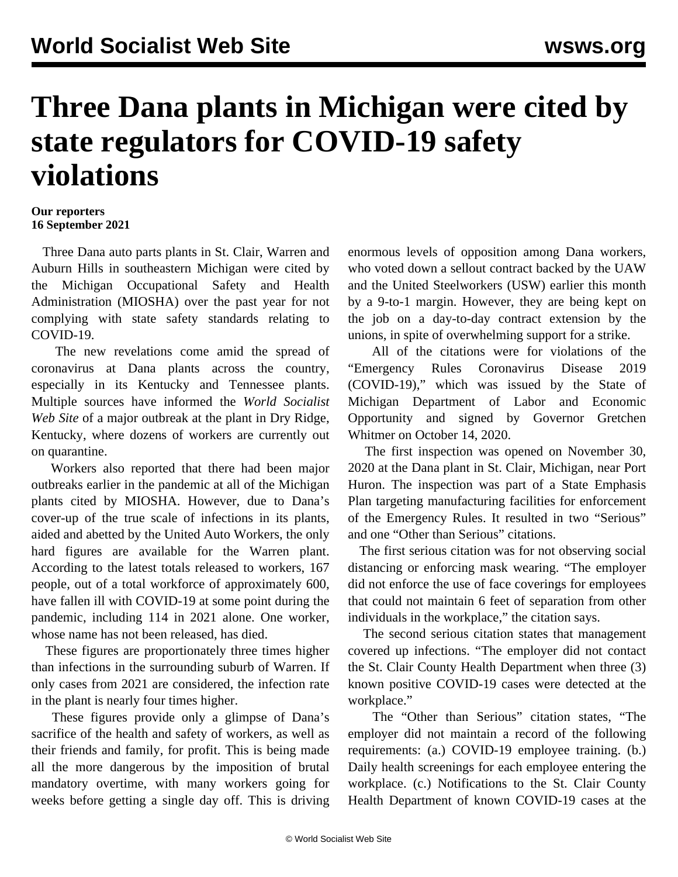## **Three Dana plants in Michigan were cited by state regulators for COVID-19 safety violations**

## **Our reporters 16 September 2021**

 Three Dana auto parts plants in St. Clair, Warren and Auburn Hills in southeastern Michigan were cited by the Michigan Occupational Safety and Health Administration (MIOSHA) over the past year for not complying with state safety standards relating to COVID-19.

 The new revelations come amid the spread of coronavirus at Dana plants across the country, especially in its Kentucky and Tennessee plants. Multiple sources have informed the *World Socialist Web Site* of a major outbreak at the plant in Dry Ridge, Kentucky, where dozens of workers are currently out on quarantine.

 Workers also reported that there had been major outbreaks earlier in the pandemic at all of the Michigan plants cited by MIOSHA. However, due to Dana's cover-up of the true scale of infections in its plants, aided and abetted by the United Auto Workers, the only hard figures are available for the Warren plant. According to the latest totals released to workers, 167 people, out of a total workforce of approximately 600, have fallen ill with COVID-19 at some point during the pandemic, including 114 in 2021 alone. One worker, whose name has not been released, has died.

 These figures are proportionately three times higher than infections in the surrounding suburb of Warren. If only cases from 2021 are considered, the infection rate in the plant is nearly four times higher.

 These figures provide only a glimpse of Dana's sacrifice of the health and safety of workers, as well as their friends and family, for profit. This is being made all the more dangerous by the imposition of brutal mandatory overtime, with many workers going for weeks before getting a single day off. This is driving enormous levels of opposition among Dana workers, who voted down a sellout contract backed by the UAW and the United Steelworkers (USW) earlier this month by a 9-to-1 margin. However, they are being kept on the job on a day-to-day contract extension by the unions, in spite of overwhelming support for a strike.

 All of the citations were for violations of the "[Emergency Rules Coronavirus Disease 2019](https://content.govdelivery.com/attachments/MIEOG/2020/10/14/file_attachments/1570997/MIOSHA%20Emergency%20Rules%2010-14-20.pdf) [\(COVID-19\)](https://content.govdelivery.com/attachments/MIEOG/2020/10/14/file_attachments/1570997/MIOSHA%20Emergency%20Rules%2010-14-20.pdf)," which was issued by the State of Michigan Department of Labor and Economic Opportunity and signed by Governor Gretchen Whitmer on October 14, 2020.

 The first inspection was opened on November 30, 2020 at the Dana plant in St. Clair, Michigan, near Port Huron. The inspection was part of a State Emphasis Plan targeting manufacturing facilities for enforcement of the Emergency Rules. It [resulted in two "Serious"](https://www.michigan.gov/documents/leo/Dana_Incorporated_716700_7.pdf) [and one "Other than Serious" citations](https://www.michigan.gov/documents/leo/Dana_Incorporated_716700_7.pdf).

 The first serious citation was for not observing social distancing or enforcing mask wearing. "The employer did not enforce the use of face coverings for employees that could not maintain 6 feet of separation from other individuals in the workplace," the citation says.

 The second serious citation states that management covered up infections. "The employer did not contact the St. Clair County Health Department when three (3) known positive COVID-19 cases were detected at the workplace."

 The "Other than Serious" citation states, "The employer did not maintain a record of the following requirements: (a.) COVID-19 employee training. (b.) Daily health screenings for each employee entering the workplace. (c.) Notifications to the St. Clair County Health Department of known COVID-19 cases at the